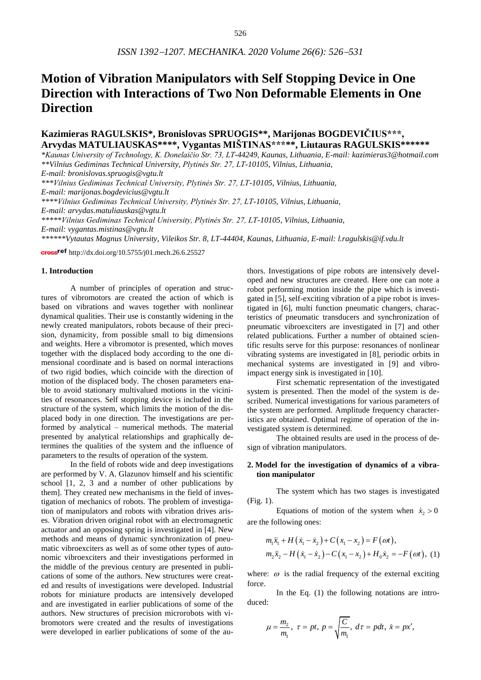# **Motion of Vibration Manipulators with Self Stopping Device in One Direction with Interactions of Two Non Deformable Elements in One Direction**

# **Kazimieras RAGULSKIS\*, Bronislovas SPRUOGIS\*\*, Marijonas BOGDEVIČIUS\*\*\*, Arvydas MATULIAUSKAS\*\*\*\*, Vygantas MIŠTINAS\*\*\*\*\*, Liutauras RAGULSKIS\*\*\*\*\*\***

*\*Kaunas University of Technology, K. Donelaičio Str. 73, LT-44249, Kaunas, Lithuania, E-mail: [kazimieras3@hotmail.com](mailto:kazimieras3@hotmail.com) \*\*Vilnius Gediminas Technical University, Plytinės Str. 27, LT-10105, Vilnius, Lithuania,* 

*E-mail: [bronislovas.spruogis@vgtu.lt](mailto:bronislovas.spruogis@vgtu.lt)*

*\*\*\*Vilnius Gediminas Technical University, Plytinės Str. 27, LT-10105, Vilnius, Lithuania,* 

*E-mail: [marijonas.bogdevicius@vgtu.lt](mailto:bronislovas.spruogis@vgtu.lt)*

*\*\*\*\*Vilnius Gediminas Technical University, Plytinės Str. 27, LT-10105, Vilnius, Lithuania,* 

*E-mail: [arvydas.matuliauskas@vgtu.lt](mailto:arvydas.matuliauskas@vgtu.lt)*

*\*\*\*\*\*Vilnius Gediminas Technical University, Plytinės Str. 27, LT-10105, Vilnius, Lithuania,* 

*E-mail: vygantas.mistinas@vgtu.lt*

*\*\*\*\*\*\*Vytautas Magnus University, Vileikos Str. 8, LT-44404, Kaunas, Lithuania, E-mail: [l.ragulskis@if.vdu.lt](mailto:l.ragulskis@if.vdu.lt)*

cross<sup>ref</sup> [http://dx.doi.org/10.5755/j01.mech.26.6.25527](http://dx.doi.org/10.5755/j01.mech.26.6.26034)

#### **1. Introduction**

A number of principles of operation and structures of vibromotors are created the action of which is based on vibrations and waves together with nonlinear dynamical qualities. Their use is constantly widening in the newly created manipulators, robots because of their precision, dynamicity, from possible small to big dimensions and weights. Here a vibromotor is presented, which moves together with the displaced body according to the one dimensional coordinate and is based on normal interactions of two rigid bodies, which coincide with the direction of motion of the displaced body. The chosen parameters enable to avoid stationary multivalued motions in the vicinities of resonances. Self stopping device is included in the structure of the system, which limits the motion of the displaced body in one direction. The investigations are performed by analytical – numerical methods. The material presented by analytical relationships and graphically determines the qualities of the system and the influence of parameters to the results of operation of the system.

In the field of robots wide and deep investigations are performed by V. A. Glazunov himself and his scientific school [1, 2, 3 and a number of other publications by them]. They created new mechanisms in the field of investigation of mechanics of robots. The problem of investigation of manipulators and robots with vibration drives arises. Vibration driven original robot with an electromagnetic actuator and an opposing spring is investigated in [4]. New methods and means of dynamic synchronization of pneumatic vibroexciters as well as of some other types of autonomic vibroexciters and their investigations performed in the middle of the previous century are presented in publications of some of the authors. New structures were created and results of investigations were developed. Industrial robots for miniature products are intensively developed and are investigated in earlier publications of some of the authors. New structures of precision microrobots with vibromotors were created and the results of investigations were developed in earlier publications of some of the authors. Investigations of pipe robots are intensively developed and new structures are created. Here one can note a robot performing motion inside the pipe which is investigated in [5], self-exciting vibration of a pipe robot is investigated in [6], multi function pneumatic changers, characteristics of pneumatic transducers and synchronization of pneumatic vibroexciters are investigated in [7] and other related publications. Further a number of obtained scientific results serve for this purpose: resonances of nonlinear vibrating systems are investigated in [8], periodic orbits in mechanical systems are investigated in [9] and vibroimpact energy sink is investigated in [10].

First schematic representation of the investigated system is presented. Then the model of the system is described. Numerical investigations for various parameters of the system are performed. Amplitude frequency characteristics are obtained. Optimal regime of operation of the investigated system is determined.

The obtained results are used in the process of design of vibration manipulators.

### **2. Model for the investigation of dynamics of a vibration manipulator**

The system which has two stages is investigated (Fig. 1).

Equations of motion of the system when  $\dot{x}_2 > 0$ are the following ones:

$$
m_1\ddot{x}_1 + H(\dot{x}_1 - \dot{x}_2) + C(x_1 - x_2) = F(\omega t),
$$
  
\n
$$
m_2\ddot{x}_2 - H(\dot{x}_1 - \dot{x}_2) - C(x_1 - x_2) + H_0\dot{x}_2 = -F(\omega t),
$$
 (1)

where:  $\omega$  is the radial frequency of the external exciting force.

In the Eq. (1) the following notations are introduced:

$$
\mu = \frac{m_2}{m_1}, \tau = pt, p = \sqrt{\frac{C}{m_1}}, d\tau = pdt, \dot{x} = px',
$$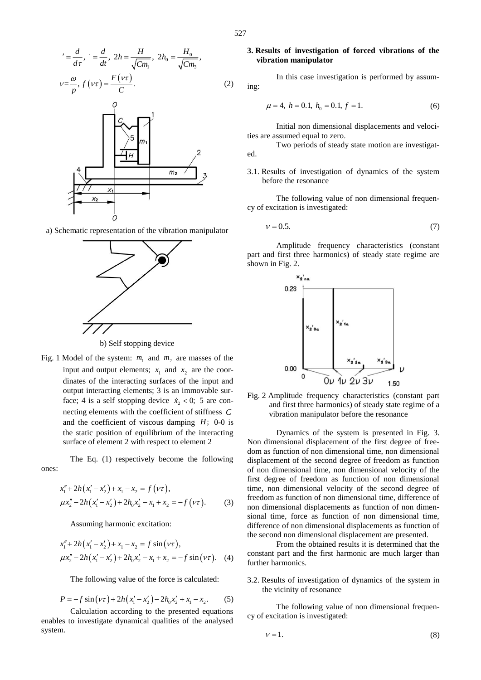$$
{}^{'} = \frac{d}{d\tau}, \quad = \frac{d}{dt}, \ 2h = \frac{H}{\sqrt{Cm_1}}, \ 2h_0 = \frac{H_0}{\sqrt{Cm_3}},
$$

$$
v = \frac{\omega}{p}, \ f(\nu\tau) = \frac{F(\nu\tau)}{C}.
$$
 (2)



a) Schematic representation of the vibration manipulator



b) Self stopping device

Fig. 1 Model of the system:  $m_1$  and  $m_2$  are masses of the input and output elements;  $x_1$  and  $x_2$  are the coordinates of the interacting surfaces of the input and output interacting elements; 3 is an immovable surface; 4 is a self stopping device  $\dot{x}_2 < 0$ ; 5 are connecting elements with the coefficient of stiffness *C* and the coefficient of viscous damping *H*; 0-0 is the static position of equilibrium of the interacting surface of element 2 with respect to element 2

The Eq. (1) respectively become the following ones:

$$
x_1'' + 2h(x_1' - x_2') + x_1 - x_2 = f(\nu \tau),
$$
  
\n
$$
\mu x_2'' - 2h(x_1' - x_2') + 2h_0 x_2' - x_1 + x_2 = -f(\nu \tau).
$$
 (3)

Assuming harmonic excitation:

$$
x_1'' + 2h(x_1' - x_2') + x_1 - x_2 = f \sin(\nu \tau),
$$
  
\n
$$
\mu x_2'' - 2h(x_1' - x_2') + 2h_0 x_2' - x_1 + x_2 = -f \sin(\nu \tau).
$$
 (4)

The following value of the force is calculated:

$$
P = -f\sin(\nu\tau) + 2h(x_1' - x_2') - 2h_0x_2' + x_1 - x_2.
$$
 (5)

Calculation according to the presented equations enables to investigate dynamical qualities of the analysed system.

#### **3. Results of investigation of forced vibrations of the vibration manipulator**

In this case investigation is performed by assuming:

$$
\mu = 4, \ h = 0.1, \ h_0 = 0.1, \ f = 1. \tag{6}
$$

Initial non dimensional displacements and velocities are assumed equal to zero.

Two periods of steady state motion are investigated.

#### 3.1. Results of investigation of dynamics of the system before the resonance

The following value of non dimensional frequency of excitation is investigated:

$$
v = 0.5.\t(7)
$$

Amplitude frequency characteristics (constant part and first three harmonics) of steady state regime are shown in Fig. 2.



Fig. 2 Amplitude frequency characteristics (constant part and first three harmonics) of steady state regime of a vibration manipulator before the resonance

Dynamics of the system is presented in Fig. 3. Non dimensional displacement of the first degree of freedom as function of non dimensional time, non dimensional displacement of the second degree of freedom as function of non dimensional time, non dimensional velocity of the first degree of freedom as function of non dimensional time, non dimensional velocity of the second degree of freedom as function of non dimensional time, difference of non dimensional displacements as function of non dimensional time, force as function of non dimensional time, difference of non dimensional displacements as function of the second non dimensional displacement are presented.

From the obtained results it is determined that the constant part and the first harmonic are much larger than further harmonics.

3.2. Results of investigation of dynamics of the system in the vicinity of resonance

The following value of non dimensional frequency of excitation is investigated:

$$
v = 1.\t\t(8)
$$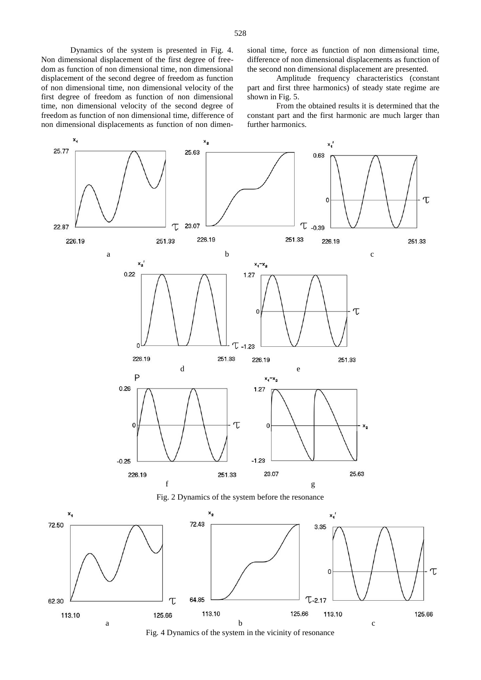sional time, force as function of non dimensional time, difference of non dimensional displacements as function of the second non dimensional displacement are presented.

Amplitude frequency characteristics (constant part and first three harmonics) of steady state regime are shown in Fig. 5.

From the obtained results it is determined that the constant part and the first harmonic are much larger than further harmonics.

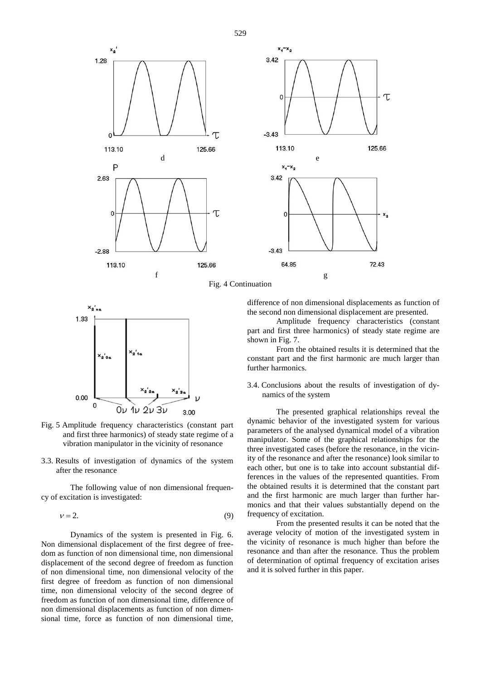



Fig. 4 Continuation



- Fig. 5 Amplitude frequency characteristics (constant part and first three harmonics) of steady state regime of a vibration manipulator in the vicinity of resonance
- 3.3. Results of investigation of dynamics of the system after the resonance

The following value of non dimensional frequency of excitation is investigated:

$$
v = 2.\t\t(9)
$$

Dynamics of the system is presented in Fig. 6. Non dimensional displacement of the first degree of freedom as function of non dimensional time, non dimensional displacement of the second degree of freedom as function of non dimensional time, non dimensional velocity of the first degree of freedom as function of non dimensional time, non dimensional velocity of the second degree of freedom as function of non dimensional time, difference of non dimensional displacements as function of non dimensional time, force as function of non dimensional time,

difference of non dimensional displacements as function of the second non dimensional displacement are presented.

Amplitude frequency characteristics (constant part and first three harmonics) of steady state regime are shown in Fig. 7.

From the obtained results it is determined that the constant part and the first harmonic are much larger than further harmonics.

3.4. Conclusions about the results of investigation of dynamics of the system

The presented graphical relationships reveal the dynamic behavior of the investigated system for various parameters of the analysed dynamical model of a vibration manipulator. Some of the graphical relationships for the three investigated cases (before the resonance, in the vicinity of the resonance and after the resonance) look similar to each other, but one is to take into account substantial differences in the values of the represented quantities. From the obtained results it is determined that the constant part and the first harmonic are much larger than further harmonics and that their values substantially depend on the frequency of excitation.

From the presented results it can be noted that the average velocity of motion of the investigated system in the vicinity of resonance is much higher than before the resonance and than after the resonance. Thus the problem of determination of optimal frequency of excitation arises and it is solved further in this paper.

529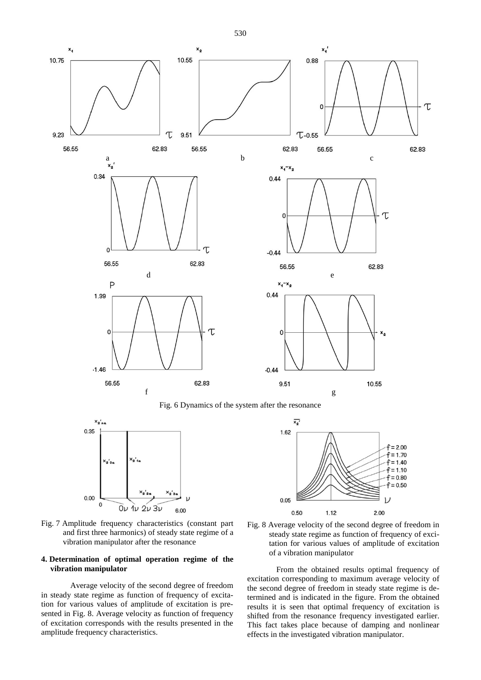

Fig. 6 Dynamics of the system after the resonance





Fig. 7 Amplitude frequency characteristics (constant part and first three harmonics) of steady state regime of a vibration manipulator after the resonance

#### **4. Determination of optimal operation regime of the vibration manipulator**

Average velocity of the second degree of freedom in steady state regime as function of frequency of excitation for various values of amplitude of excitation is presented in Fig. 8. Average velocity as function of frequency of excitation corresponds with the results presented in the amplitude frequency characteristics.



From the obtained results optimal frequency of excitation corresponding to maximum average velocity of the second degree of freedom in steady state regime is determined and is indicated in the figure. From the obtained results it is seen that optimal frequency of excitation is shifted from the resonance frequency investigated earlier. This fact takes place because of damping and nonlinear effects in the investigated vibration manipulator.

530